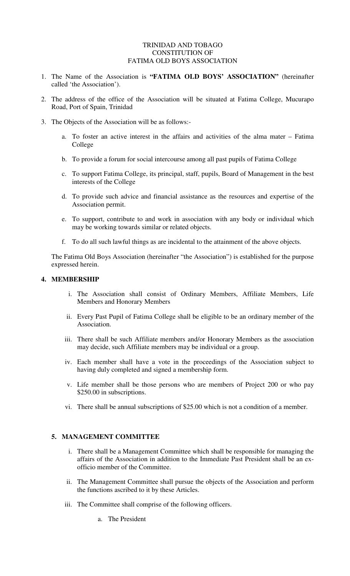### TRINIDAD AND TOBAGO CONSTITUTION OF FATIMA OLD BOYS ASSOCIATION

- 1. The Name of the Association is **"FATIMA OLD BOYS' ASSOCIATION"** (hereinafter called 'the Association').
- 2. The address of the office of the Association will be situated at Fatima College, Mucurapo Road, Port of Spain, Trinidad
- 3. The Objects of the Association will be as follows:
	- a. To foster an active interest in the affairs and activities of the alma mater Fatima College
	- b. To provide a forum for social intercourse among all past pupils of Fatima College
	- c. To support Fatima College, its principal, staff, pupils, Board of Management in the best interests of the College
	- d. To provide such advice and financial assistance as the resources and expertise of the Association permit.
	- e. To support, contribute to and work in association with any body or individual which may be working towards similar or related objects.
	- f. To do all such lawful things as are incidental to the attainment of the above objects.

The Fatima Old Boys Association (hereinafter "the Association") is established for the purpose expressed herein.

#### **4. MEMBERSHIP**

- i. The Association shall consist of Ordinary Members, Affiliate Members, Life Members and Honorary Members
- ii. Every Past Pupil of Fatima College shall be eligible to be an ordinary member of the Association.
- iii. There shall be such Affiliate members and/or Honorary Members as the association may decide, such Affiliate members may be individual or a group.
- iv. Each member shall have a vote in the proceedings of the Association subject to having duly completed and signed a membership form.
- v. Life member shall be those persons who are members of Project 200 or who pay \$250.00 in subscriptions.
- vi. There shall be annual subscriptions of \$25.00 which is not a condition of a member.

#### **5. MANAGEMENT COMMITTEE**

- i. There shall be a Management Committee which shall be responsible for managing the affairs of the Association in addition to the Immediate Past President shall be an exofficio member of the Committee.
- ii. The Management Committee shall pursue the objects of the Association and perform the functions ascribed to it by these Articles.
- iii. The Committee shall comprise of the following officers.
	- a. The President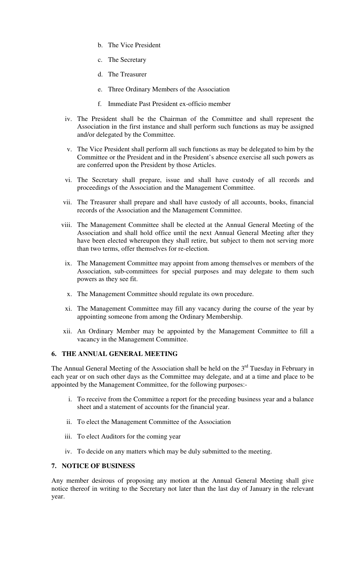- b. The Vice President
- c. The Secretary
- d. The Treasurer
- e. Three Ordinary Members of the Association
- f. Immediate Past President ex-officio member
- iv. The President shall be the Chairman of the Committee and shall represent the Association in the first instance and shall perform such functions as may be assigned and/or delegated by the Committee.
- v. The Vice President shall perform all such functions as may be delegated to him by the Committee or the President and in the President's absence exercise all such powers as are conferred upon the President by those Articles.
- vi. The Secretary shall prepare, issue and shall have custody of all records and proceedings of the Association and the Management Committee.
- vii. The Treasurer shall prepare and shall have custody of all accounts, books, financial records of the Association and the Management Committee.
- viii. The Management Committee shall be elected at the Annual General Meeting of the Association and shall hold office until the next Annual General Meeting after they have been elected whereupon they shall retire, but subject to them not serving more than two terms, offer themselves for re-election.
- ix. The Management Committee may appoint from among themselves or members of the Association, sub-committees for special purposes and may delegate to them such powers as they see fit.
- x. The Management Committee should regulate its own procedure.
- xi. The Management Committee may fill any vacancy during the course of the year by appointing someone from among the Ordinary Membership.
- xii. An Ordinary Member may be appointed by the Management Committee to fill a vacancy in the Management Committee.

# **6. THE ANNUAL GENERAL MEETING**

The Annual General Meeting of the Association shall be held on the  $3<sup>rd</sup>$  Tuesday in February in each year or on such other days as the Committee may delegate, and at a time and place to be appointed by the Management Committee, for the following purposes:-

- i. To receive from the Committee a report for the preceding business year and a balance sheet and a statement of accounts for the financial year.
- ii. To elect the Management Committee of the Association
- iii. To elect Auditors for the coming year
- iv. To decide on any matters which may be duly submitted to the meeting.

# **7. NOTICE OF BUSINESS**

Any member desirous of proposing any motion at the Annual General Meeting shall give notice thereof in writing to the Secretary not later than the last day of January in the relevant year.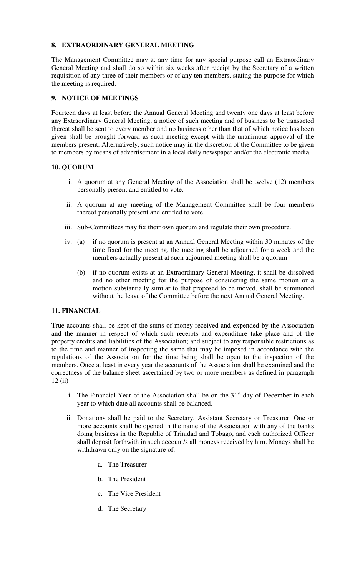# **8. EXTRAORDINARY GENERAL MEETING**

The Management Committee may at any time for any special purpose call an Extraordinary General Meeting and shall do so within six weeks after receipt by the Secretary of a written requisition of any three of their members or of any ten members, stating the purpose for which the meeting is required.

# **9. NOTICE OF MEETINGS**

Fourteen days at least before the Annual General Meeting and twenty one days at least before any Extraordinary General Meeting, a notice of such meeting and of business to be transacted thereat shall be sent to every member and no business other than that of which notice has been given shall be brought forward as such meeting except with the unanimous approval of the members present. Alternatively, such notice may in the discretion of the Committee to be given to members by means of advertisement in a local daily newspaper and/or the electronic media.

### **10. QUORUM**

- i. A quorum at any General Meeting of the Association shall be twelve (12) members personally present and entitled to vote.
- ii. A quorum at any meeting of the Management Committee shall be four members thereof personally present and entitled to vote.
- iii. Sub-Committees may fix their own quorum and regulate their own procedure.
- iv. (a) if no quorum is present at an Annual General Meeting within 30 minutes of the time fixed for the meeting, the meeting shall be adjourned for a week and the members actually present at such adjourned meeting shall be a quorum
	- (b) if no quorum exists at an Extraordinary General Meeting, it shall be dissolved and no other meeting for the purpose of considering the same motion or a motion substantially similar to that proposed to be moved, shall be summoned without the leave of the Committee before the next Annual General Meeting.

### **11. FINANCIAL**

True accounts shall be kept of the sums of money received and expended by the Association and the manner in respect of which such receipts and expenditure take place and of the property credits and liabilities of the Association; and subject to any responsible restrictions as to the time and manner of inspecting the same that may be imposed in accordance with the regulations of the Association for the time being shall be open to the inspection of the members. Once at least in every year the accounts of the Association shall be examined and the correctness of the balance sheet ascertained by two or more members as defined in paragraph 12 (ii)

- i. The Financial Year of the Association shall be on the  $31<sup>st</sup>$  day of December in each year to which date all accounts shall be balanced.
- ii. Donations shall be paid to the Secretary, Assistant Secretary or Treasurer. One or more accounts shall be opened in the name of the Association with any of the banks doing business in the Republic of Trinidad and Tobago, and each authorized Officer shall deposit forthwith in such account/s all moneys received by him. Moneys shall be withdrawn only on the signature of:
	- a. The Treasurer
	- b. The President
	- c. The Vice President
	- d. The Secretary